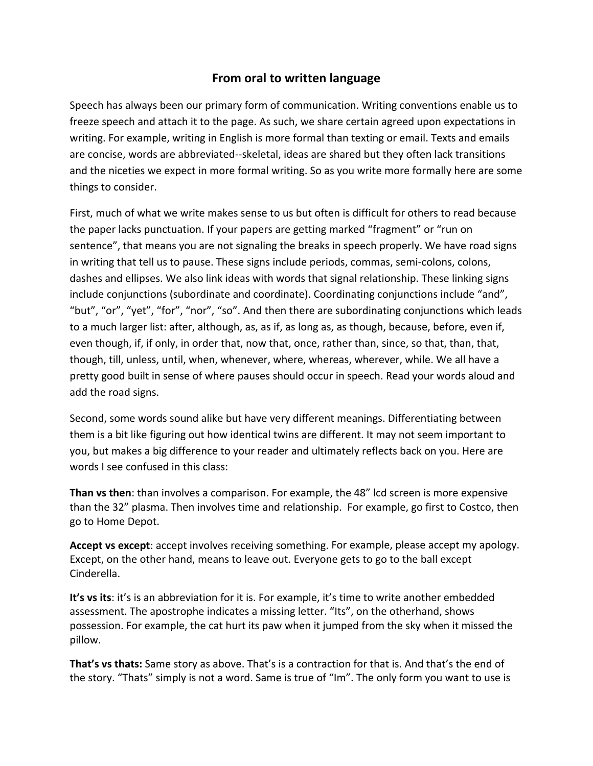## **From oral to written language**

Speech has always been our primary form of communication. Writing conventions enable us to freeze speech and attach it to the page. As such, we share certain agreed upon expectations in writing. For example, writing in English is more formal than texting or email. Texts and emails are concise, words are abbreviated‐‐skeletal, ideas are shared but they often lack transitions and the niceties we expect in more formal writing. So as you write more formally here are some things to consider.

First, much of what we write makes sense to us but often is difficult for others to read because the paper lacks punctuation. If your papers are getting marked "fragment" or "run on sentence", that means you are not signaling the breaks in speech properly. We have road signs in writing that tell us to pause. These signs include periods, commas, semi-colons, colons, dashes and ellipses. We also link ideas with words that signal relationship. These linking signs include conjunctions (subordinate and coordinate). Coordinating conjunctions include "and", "but", "or", "yet", "for", "nor", "so". And then there are subordinating conjunctions which leads to a much larger list: after, although, as, as if, as long as, as though, because, before, even if, even though, if, if only, in order that, now that, once, rather than, since, so that, than, that, though, till, unless, until, when, whenever, where, whereas, wherever, while. We all have a pretty good built in sense of where pauses should occur in speech. Read your words aloud and add the road signs.

Second, some words sound alike but have very different meanings. Differentiating between them is a bit like figuring out how identical twins are different. It may not seem important to you, but makes a big difference to your reader and ultimately reflects back on you. Here are words I see confused in this class:

**Than vs then**: than involves a comparison. For example, the 48" lcd screen is more expensive than the 32" plasma. Then involves time and relationship. For example, go first to Costco, then go to Home Depot.

**Accept vs except**: accept involves receiving something. For example, please accept my apology. Except, on the other hand, means to leave out. Everyone gets to go to the ball except Cinderella.

**It's vs its**: it's is an abbreviation for it is. For example, it's time to write another embedded assessment. The apostrophe indicates a missing letter. "Its", on the otherhand, shows possession. For example, the cat hurt its paw when it jumped from the sky when it missed the pillow.

**That's vs thats:** Same story as above. That's is a contraction for that is. And that's the end of the story. "Thats" simply is not a word. Same is true of "Im". The only form you want to use is